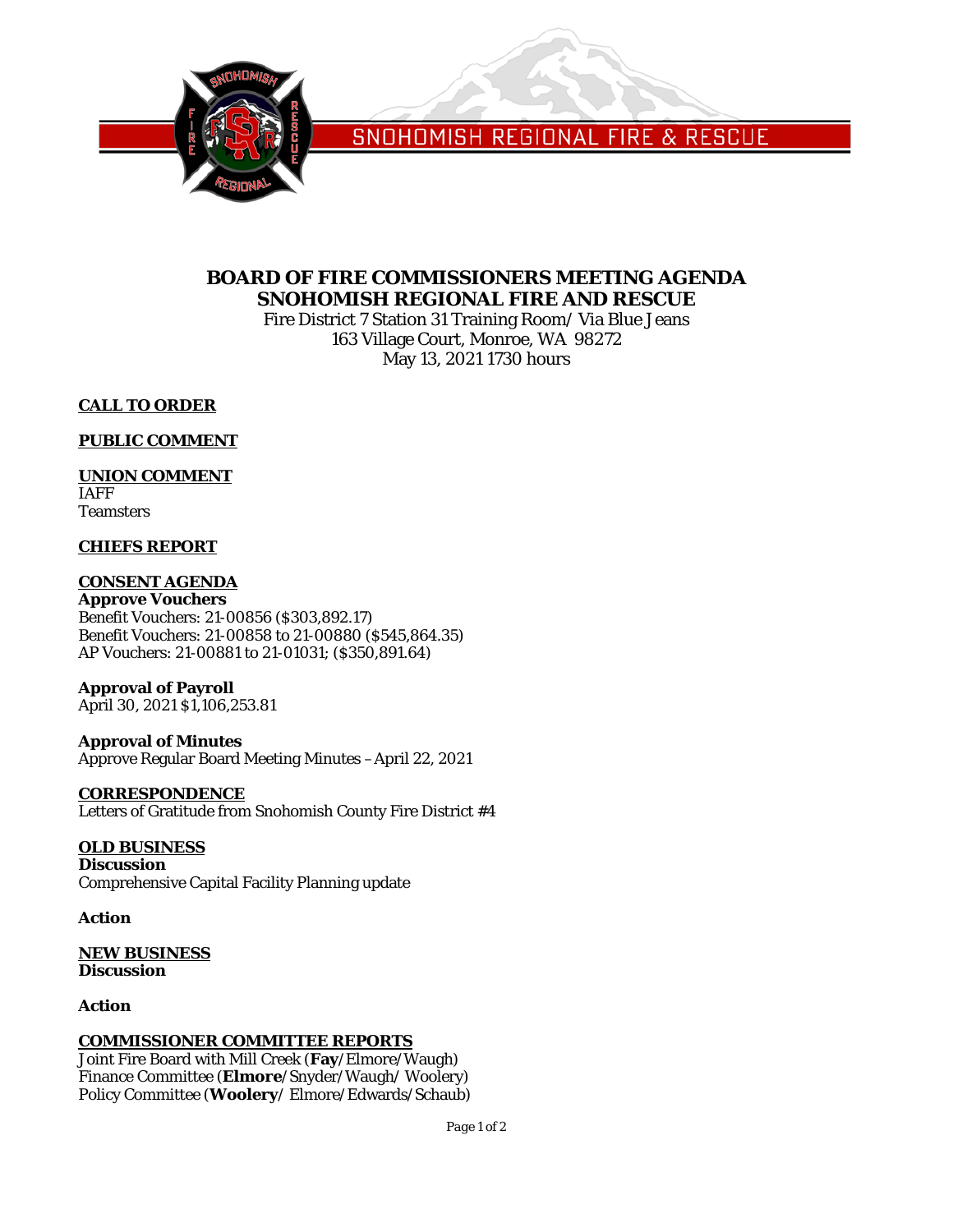

SNOHOMISH REGIONAL FIRE & RESCUE

## **BOARD OF FIRE COMMISSIONERS MEETING AGENDA SNOHOMISH REGIONAL FIRE AND RESCUE**

Fire District 7 Station 31 Training Room/ Via Blue Jeans 163 Village Court, Monroe, WA 98272 May 13, 2021 1730 hours

## **CALL TO ORDER**

## **PUBLIC COMMENT**

## **UNION COMMENT**

IAFF **Teamsters** 

## **CHIEFS REPORT**

## **CONSENT AGENDA**

**Approve Vouchers** Benefit Vouchers: 21-00856 (\$303,892.17) Benefit Vouchers: 21-00858 to 21-00880 (\$545,864.35) AP Vouchers: 21-00881 to 21-01031; (\$350,891.64)

## **Approval of Payroll**

April 30, 2021 \$1,106,253.81

## **Approval of Minutes**

Approve Regular Board Meeting Minutes –April 22, 2021

#### **CORRESPONDENCE**

Letters of Gratitude from Snohomish County Fire District #4

## **OLD BUSINESS**

**Discussion** Comprehensive Capital Facility Planning update

#### **Action**

**NEW BUSINESS Discussion**

## **Action**

## **COMMISSIONER COMMITTEE REPORTS**

Joint Fire Board with Mill Creek (**Fay**/Elmore/Waugh) Finance Committee (**Elmore**/Snyder/Waugh/ Woolery) Policy Committee (**Woolery**/ Elmore/Edwards/Schaub)